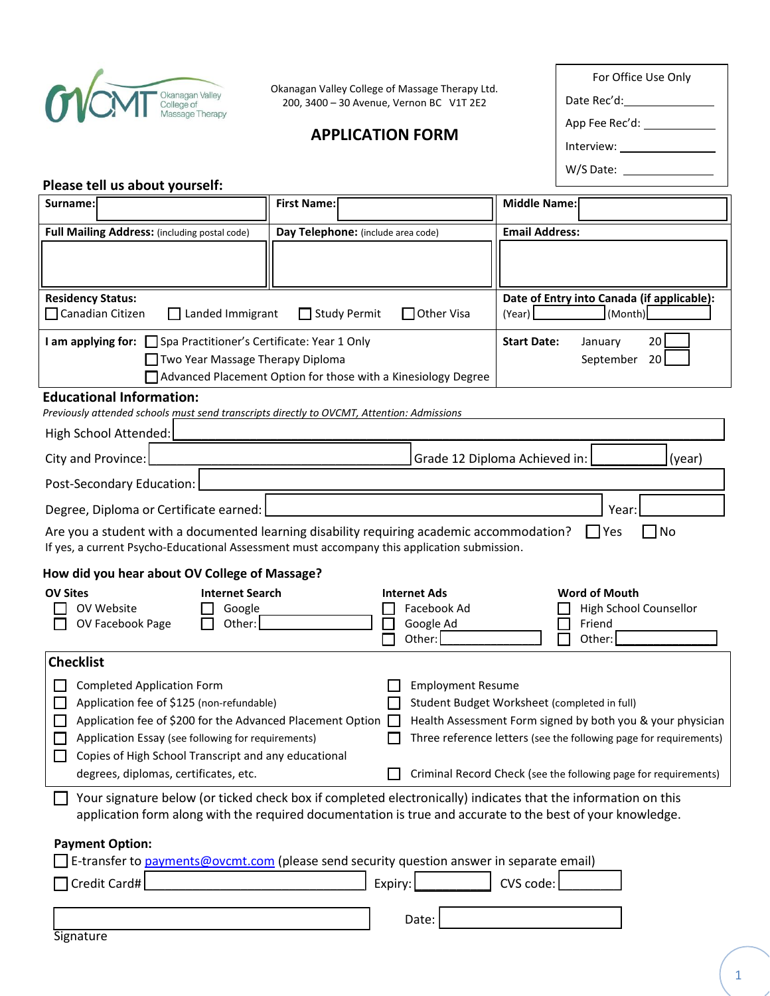

Okanagan Valley College of Massage Therapy Ltd. 200, 3400 – 30 Avenue, Vernon BC V1T 2E2

# **APPLICATION FORM**

| أنما                      |  |  |
|---------------------------|--|--|
|                           |  |  |
| W/S Date: ____            |  |  |
|                           |  |  |
| App Fee Rec'd: __________ |  |  |
| Date Rec'd:______________ |  |  |
| For Office Use Only       |  |  |

### **Please tell us about yourself:**

| Surname:                                                                                                                                                                                                                                                                                                                                                                                                                                                                                                                                                                                        | <b>First Name:</b>                                        | <b>Middle Name:</b>                                                |  |
|-------------------------------------------------------------------------------------------------------------------------------------------------------------------------------------------------------------------------------------------------------------------------------------------------------------------------------------------------------------------------------------------------------------------------------------------------------------------------------------------------------------------------------------------------------------------------------------------------|-----------------------------------------------------------|--------------------------------------------------------------------|--|
| Full Mailing Address: (including postal code)                                                                                                                                                                                                                                                                                                                                                                                                                                                                                                                                                   | Day Telephone: (include area code)                        | <b>Email Address:</b>                                              |  |
|                                                                                                                                                                                                                                                                                                                                                                                                                                                                                                                                                                                                 |                                                           |                                                                    |  |
| <b>Residency Status:</b><br>□ Canadian Citizen<br>$\Box$ Landed Immigrant<br>Study Permit<br>$\Box$ Other Visa                                                                                                                                                                                                                                                                                                                                                                                                                                                                                  |                                                           | Date of Entry into Canada (if applicable):<br>(Month)<br>(Year)    |  |
| <b>I am applying for:</b> □ Spa Practitioner's Certificate: Year 1 Only<br>20<br><b>Start Date:</b><br>January<br>20<br>Two Year Massage Therapy Diploma<br>September<br>Advanced Placement Option for those with a Kinesiology Degree                                                                                                                                                                                                                                                                                                                                                          |                                                           |                                                                    |  |
| <b>Educational Information:</b><br>Previously attended schools must send transcripts directly to OVCMT, Attention: Admissions                                                                                                                                                                                                                                                                                                                                                                                                                                                                   |                                                           |                                                                    |  |
| High School Attended:                                                                                                                                                                                                                                                                                                                                                                                                                                                                                                                                                                           |                                                           |                                                                    |  |
| City and Province:                                                                                                                                                                                                                                                                                                                                                                                                                                                                                                                                                                              |                                                           | Grade 12 Diploma Achieved in:<br>(year)                            |  |
| Post-Secondary Education:                                                                                                                                                                                                                                                                                                                                                                                                                                                                                                                                                                       |                                                           |                                                                    |  |
| Degree, Diploma or Certificate earned:<br>Year:                                                                                                                                                                                                                                                                                                                                                                                                                                                                                                                                                 |                                                           |                                                                    |  |
| Are you a student with a documented learning disability requiring academic accommodation?<br>7No<br>$\Box$ Yes<br>If yes, a current Psycho-Educational Assessment must accompany this application submission.                                                                                                                                                                                                                                                                                                                                                                                   |                                                           |                                                                    |  |
| How did you hear about OV College of Massage?                                                                                                                                                                                                                                                                                                                                                                                                                                                                                                                                                   |                                                           |                                                                    |  |
| <b>OV Sites</b><br><b>Internet Search</b><br>OV Website<br>Google<br>Other:<br>OV Facebook Page                                                                                                                                                                                                                                                                                                                                                                                                                                                                                                 | <b>Internet Ads</b><br>Facebook Ad<br>Google Ad<br>Other: | <b>Word of Mouth</b><br>High School Counsellor<br>Friend<br>Other: |  |
| <b>Checklist</b>                                                                                                                                                                                                                                                                                                                                                                                                                                                                                                                                                                                |                                                           |                                                                    |  |
| <b>Completed Application Form</b><br><b>Employment Resume</b><br>Application fee of \$125 (non-refundable)<br>Student Budget Worksheet (completed in full)<br>Application fee of \$200 for the Advanced Placement Option<br>Health Assessment Form signed by both you & your physician<br>$\Box$<br>Three reference letters (see the following page for requirements)<br>Application Essay (see following for requirements)<br>Copies of High School Transcript and any educational<br>Criminal Record Check (see the following page for requirements)<br>degrees, diplomas, certificates, etc. |                                                           |                                                                    |  |
| Your signature below (or ticked check box if completed electronically) indicates that the information on this<br>application form along with the required documentation is true and accurate to the best of your knowledge.                                                                                                                                                                                                                                                                                                                                                                     |                                                           |                                                                    |  |
| <b>Payment Option:</b><br>E-transfer to payments@ovcmt.com (please send security question answer in separate email)<br>CVS code:<br>Credit Card#<br>Expiry:<br>Date:<br>Signature                                                                                                                                                                                                                                                                                                                                                                                                               |                                                           |                                                                    |  |